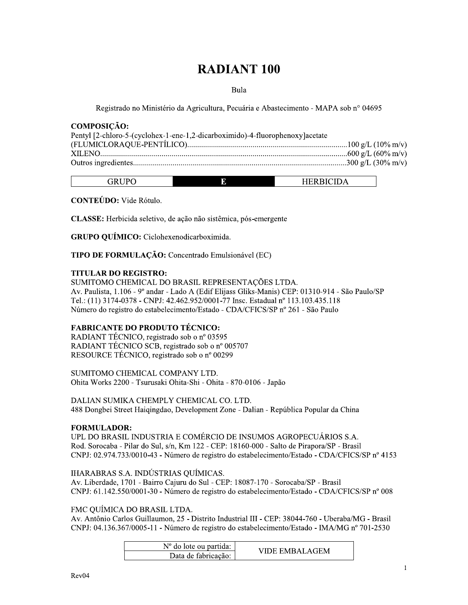# **RADIANT 100**

#### Bula

Registrado no Ministério da Agricultura, Pecuária e Abastecimento - MAPA sob nº 04695

#### **COMPOSIÇÃO:**

| Pentyl [2-chloro-5-(cyclohex-1-ene-1,2-dicarboximido)-4-fluorophenoxy]acetate |  |
|-------------------------------------------------------------------------------|--|
|                                                                               |  |
|                                                                               |  |
|                                                                               |  |

| $  -$<br>. iP∴<br>D) | E | TIDDICHD<br>. . |
|----------------------|---|-----------------|

**CONTEÚDO:** Vide Rótulo.

CLASSE: Herbicida seletivo, de ação não sistêmica, pós-emergente

GRUPO QUÍMICO: Ciclohexenodicarboximida.

TIPO DE FORMULAÇÃO: Concentrado Emulsionável (EC)

# **TITULAR DO REGISTRO:**

SUMITOMO CHEMICAL DO BRASIL REPRESENTAÇÕES LTDA. Av. Paulista, 1.106 - 9º andar - Lado A (Edif Elijass Gliks-Manis) CEP: 01310-914 - São Paulo/SP Tel.: (11) 3174-0378 - CNPJ: 42.462.952/0001-77 Insc. Estadual nº 113.103.435.118 Número do registro do estabelecimento/Estado - CDA/CFICS/SP nº 261 - São Paulo

# **FABRICANTE DO PRODUTO TÉCNICO:**

RADIANT TÉCNICO, registrado sob o nº 03595 RADIANT TÉCNICO SCB, registrado sob o nº 005707 RESOURCE TÉCNICO, registrado sob o nº 00299

SUMITOMO CHEMICAL COMPANY LTD. Ohita Works 2200 - Tsurusaki Ohita-Shi - Ohita - 870-0106 - Japão

DALIAN SUMIKA CHEMPLY CHEMICAL CO. LTD. 488 Dongbei Street Haigingdao, Development Zone - Dalian - República Popular da China

#### **FORMULADOR:**

UPL DO BRASIL INDUSTRIA E COMÉRCIO DE INSUMOS AGROPECUÁRIOS S.A. Rod. Sorocaba - Pilar do Sul, s/n, Km 122 - CEP: 18160-000 - Salto de Pirapora/SP - Brasil CNPJ: 02.974.733/0010-43 - Número de registro do estabelecimento/Estado - CDA/CFICS/SP nº 4153

#### IHARABRAS S.A. INDÚSTRIAS QUÍMICAS.

Av. Liberdade, 1701 - Bairro Cajuru do Sul - CEP: 18087-170 - Sorocaba/SP - Brasil CNPJ: 61.142.550/0001-30 - Número de registro do estabelecimento/Estado - CDA/CFICS/SP nº 008

#### FMC OUÍMICA DO BRASIL LTDA.

Av. Antônio Carlos Guillaumon, 25 - Distrito Industrial III - CEP: 38044-760 - Uberaba/MG - Brasil CNPJ: 04.136.367/0005-11 - Número de registro do estabelecimento/Estado - IMA/MG nº 701-2530

| $No$ do lote ou partida: | VIDE EMBALAGEM |
|--------------------------|----------------|
| Data de fabricação:      |                |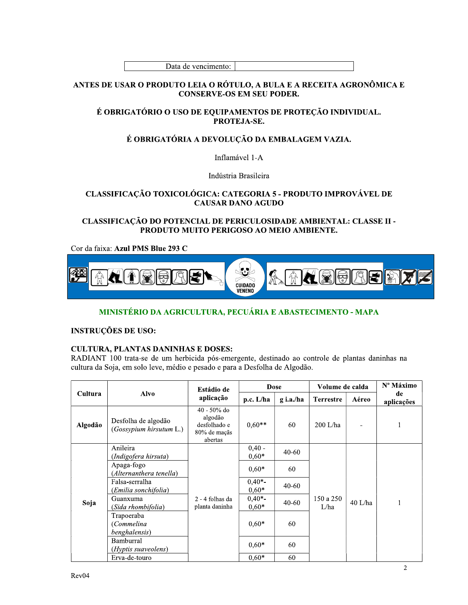#### ANTES DE USAR O PRODUTO LEIA O RÓTULO, A BULA E A RECEITA AGRONÔMICA E **CONSERVE-OS EM SEU PODER.**

# É OBRIGATÓRIO O USO DE EQUIPAMENTOS DE PROTEÇÃO INDIVIDUAL. PROTEJA-SE.

# É OBRIGATÓRIA A DEVOLUÇÃO DA EMBALAGEM VAZIA.

Inflamável 1-A

Indústria Brasileira

## CLASSIFICAÇÃO TOXICOLÓGICA: CATEGORIA 5 - PRODUTO IMPROVÁVEL DE **CAUSAR DANO AGUDO**

CLASSIFICAÇÃO DO POTENCIAL DE PERICULOSIDADE AMBIENTAL: CLASSE II -PRODUTO MUITO PERIGOSO AO MEIO AMBIENTE.

Cor da faixa: Azul PMS Blue 293 C



# MINISTÉRIO DA AGRICULTURA, PECUÁRIA E ABASTECIMENTO - MAPA

**INSTRUÇÕES DE USO:** 

# **CULTURA, PLANTAS DANINHAS E DOSES:**

RADIANT 100 trata-se de um herbicida pós-emergente, destinado ao controle de plantas daninhas na cultura da Soja, em solo leve, médio e pesado e para a Desfolha de Algodão.

|         |                                                | Estádio de                                                           | <b>Dose</b>         |           | Volume de calda   |           | Nº Máximo        |
|---------|------------------------------------------------|----------------------------------------------------------------------|---------------------|-----------|-------------------|-----------|------------------|
| Cultura | <b>Alvo</b>                                    | aplicação                                                            | $p.c.$ L/ha         | g i.a./ha | <b>Terrestre</b>  | Aéreo     | de<br>aplicações |
| Algodão | Desfolha de algodão<br>(Gossypium hirsutum L.) | $40 - 50\%$ do<br>algodão<br>desfolhado e<br>80% de maçãs<br>abertas | $0,60**$            | 60        | $200$ L/ha        |           | 1                |
|         | Anileira<br>(Indigofera hirsuta)               |                                                                      | $0.40 -$<br>$0.60*$ | $40 - 60$ |                   |           |                  |
| Soja    | Apaga-fogo<br>(Alternanthera tenella)          | 2 - 4 folhas da<br>planta daninha                                    | $0.60*$             | 60        | 150 a 250<br>L/ha | $40$ L/ha | 1                |
|         | Falsa-serralha<br>(Emilia sonchifolia)         |                                                                      | $0,40*-$<br>$0,60*$ | $40 - 60$ |                   |           |                  |
|         | Guanxuma<br>(Sida rhombifolia)                 |                                                                      | $0.40*-$<br>$0.60*$ | $40 - 60$ |                   |           |                  |
|         | Trapoeraba<br>(Commelina<br>benghalensis)      |                                                                      | $0.60*$             | 60        |                   |           |                  |
|         | Bamburral<br>(Hyptis suaveolens)               |                                                                      | $0.60*$             | 60        |                   |           |                  |
|         | Erva-de-touro                                  |                                                                      | $0,60*$             | 60        |                   |           |                  |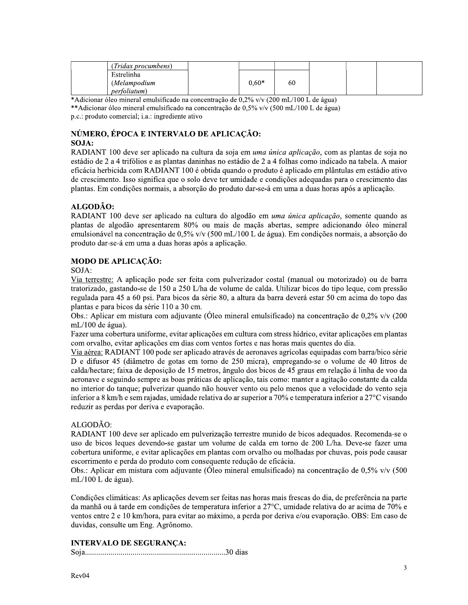| (Tridax procumbens)        |         |    |  |  |
|----------------------------|---------|----|--|--|
| Estrelinha<br>(Melampodium | $0.60*$ | 60 |  |  |
| <i>perfoliatum</i> )       |         |    |  |  |

\*Adicionar óleo mineral emulsificado na concentração de 0,2% v/v (200 mL/100 L de água) \*\*Adicionar óleo mineral emulsificado na concentração de 0,5% v/v (500 mL/100 L de água) p.c.: produto comercial; i.a.: ingrediente ativo

# NÚMERO, ÉPOCA E INTERVALO DE APLICAÇÃO: SOJA:

RADIANT 100 deve ser aplicado na cultura da soja em *uma única aplicação*, com as plantas de soja no estádio de 2 a 4 trifólios e as plantas daninhas no estádio de 2 a 4 folhas como indicado na tabela. A maior eficácia herbicida com RADIANT 100 é obtida quando o produto é aplicado em plântulas em estádio ativo de crescimento. Isso significa que o solo deve ter umidade e condições adequadas para o crescimento das plantas. Em condições normais, a absorção do produto dar-se-á em uma a duas horas após a aplicação.

# ALGODÃO:

RADIANT 100 deve ser aplicado na cultura do algodão em *uma única aplicação*, somente quando as plantas de algodão apresentarem 80% ou mais de maçãs abertas, sempre adicionando óleo mineral emulsionável na concentração de 0,5% v/v (500 mL/100 L de água). Em condições normais, a absorção do produto dar-se-á em uma a duas horas após a aplicação.

# **MODO DE APLICAÇÃO:**

SOJA:

Via terrestre: A aplicação pode ser feita com pulverizador costal (manual ou motorizado) ou de barra tratorizado, gastando-se de 150 a 250 L/ha de volume de calda. Utilizar bicos do tipo legue, com pressão regulada para 45 a 60 psi. Para bicos da série 80, a altura da barra deverá estar 50 cm acima do topo das plantas e para bicos da série 110 a 30 cm.

Obs.: Aplicar em mistura com adjuvante (Óleo mineral emulsificado) na concentração de 0,2% v/v (200 mL/100 de água).

Fazer uma cobertura uniforme, evitar aplicações em cultura com stress hídrico, evitar aplicações em plantas com orvalho, evitar aplicações em dias com ventos fortes e nas horas mais quentes do dia.

Via aérea: RADIANT 100 pode ser aplicado através de aeronaves agrícolas equipadas com barra/bico série D e difusor 45 (diâmetro de gotas em torno de 250 micra), empregando-se o volume de 40 litros de calda/hectare; faixa de deposição de 15 metros, ângulo dos bicos de 45 graus em relação á linha de voo da aeronave e seguindo sempre as boas práticas de aplicação, tais como: manter a agitação constante da calda no interior do tanque; pulverizar quando não houver vento ou pelo menos que a velocidade do vento seja inferior a 8 km/h e sem rajadas, umidade relativa do ar superior a 70% e temperatura inferior a 27°C visando reduzir as perdas por deriva e evaporação.

# ALGODÃO:

RADIANT 100 deve ser aplicado em pulverização terrestre munido de bicos adequados. Recomenda-se o uso de bicos leques devendo-se gastar um volume de calda em torno de 200 L/ha. Deve-se fazer uma cobertura uniforme, e evitar aplicações em plantas com orvalho ou molhadas por chuvas, pois pode causar escorrimento e perda do produto com consequente redução de eficácia.

Obs.: Aplicar em mistura com adjuvante (Óleo mineral emulsificado) na concentração de 0,5% v/v (500 mL/100 L de água).

Condições climáticas: As aplicações devem ser feitas nas horas mais frescas do dia, de preferência na parte da manhã ou à tarde em condições de temperatura inferior a 27°C, umidade relativa do ar acima de 70% e ventos entre 2 e 10 km/hora, para evitar ao máximo, a perda por deriva e/ou evaporação. OBS: Em caso de duvidas, consulte um Eng. Agrônomo.

# **INTERVALO DE SEGURANÇA:**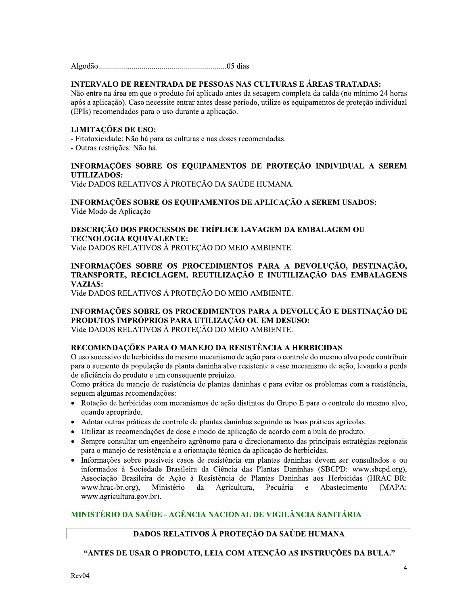## INTERVALO DE REENTRADA DE PESSOAS NAS CULTURAS E ÁREAS TRATADAS:

Não entre na área em que o produto foi aplicado antes da secagem completa da calda (no mínimo 24 horas após a aplicação). Caso necessite entrar antes desse período, utilize os equipamentos de proteção individual (EPIs) recomendados para o uso durante a aplicação.

#### LIMITAÇÕES DE USO:

- Fitotoxicidade: Não há para as culturas e nas doses recomendadas.

- Outras restrições: Não há.

## INFORMAÇÕES SOBRE OS EQUIPAMENTOS DE PROTEÇÃO INDIVIDUAL A SEREM **UTILIZADOS:**

Vide DADOS RELATIVOS À PROTEÇÃO DA SAÚDE HUMANA.

#### INFORMAÇÕES SOBRE OS EQUIPAMENTOS DE APLICAÇÃO A SEREM USADOS: Vide Modo de Aplicação

#### DESCRIÇÃO DOS PROCESSOS DE TRÍPLICE LAVAGEM DA EMBALAGEM OU **TECNOLOGIA EQUIVALENTE:** Vide DADOS RELATIVOS À PROTEÇÃO DO MEIO AMBIENTE.

## INFORMAÇÕES SOBRE OS PROCEDIMENTOS PARA A DEVOLUÇÃO, DESTINAÇÃO, TRANSPORTE, RECICLAGEM, REUTILIZAÇÃO E INUTILIZAÇÃO DAS EMBALAGENS **VAZIAS:**

Vide DADOS RELATIVOS À PROTEÇÃO DO MEIO AMBIENTE.

#### INFORMAÇÕES SOBRE OS PROCEDIMENTOS PARA A DEVOLUÇÃO E DESTINAÇÃO DE PRODUTOS IMPRÓPRIOS PARA UTILIZAÇÃO OU EM DESUSO: Vide DADOS RELATIVOS À PROTECÃO DO MEIO AMBIENTE.

#### RECOMENDAÇÕES PARA O MANEJO DA RESISTÊNCIA A HERBICIDAS

O uso sucessivo de herbicidas do mesmo mecanismo de ação para o controle do mesmo alvo pode contribuir para o aumento da população da planta daninha alvo resistente a esse mecanismo de ação, levando a perda de eficiência do produto e um consequente prejuízo.

Como prática de manejo de resistência de plantas daninhas e para evitar os problemas com a resistência, seguem algumas recomendações:

- Rotação de herbicidas com mecanismos de ação distintos do Grupo E para o controle do mesmo alvo, quando apropriado.
- Adotar outras práticas de controle de plantas daninhas seguindo as boas práticas agrícolas.
- · Utilizar as recomendações de dose e modo de aplicação de acordo com a bula do produto.
- Sempre consultar um engenheiro agrônomo para o direcionamento das principais estratégias regionais para o manejo de resistência e a orientação técnica da aplicação de herbicidas.
- Informações sobre possíveis casos de resistência em plantas daninhas devem ser consultados e ou informados à Sociedade Brasileira da Ciência das Plantas Daninhas (SBCPD: www.sbcpd.org), Associação Brasileira de Ação à Resistência de Plantas Daninhas aos Herbicidas (HRAC-BR: www.hrac-br.org), Ministério da Agricultura, Pecuária  $e$ Abastecimento  $(MAPA)$ www.agricultura.gov.br).

# MINISTÉRIO DA SAÚDE - AGÊNCIA NACIONAL DE VIGILÂNCIA SANITÁRIA

# DADOS RELATIVOS À PROTEÇÃO DA SAÚDE HUMANA

### "ANTES DE USAR O PRODUTO, LEIA COM ATENÇÃO AS INSTRUÇÕES DA BULA."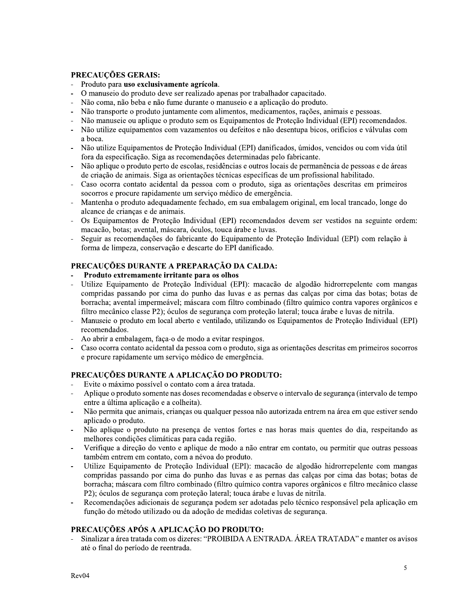# PRECAUÇÕES GERAIS:

- Produto para uso exclusivamente agrícola.
- O manuseio do produto deve ser realizado apenas por trabalhador capacitado.
- Não coma, não beba e não fume durante o manuseio e a aplicação do produto.  $\bar{\phantom{a}}$
- Não transporte o produto juntamente com alimentos, medicamentos, rações, animais e pessoas.
- Não manuseie ou aplique o produto sem os Equipamentos de Proteção Individual (EPI) recomendados.
- Não utilize equipamentos com vazamentos ou defeitos e não desentupa bicos, orifícios e válvulas com a boca.
- Não utilize Equipamentos de Proteção Individual (EPI) danificados, úmidos, vencidos ou com vida útil fora da especificação. Siga as recomendações determinadas pelo fabricante.
- Não aplique o produto perto de escolas, residências e outros locais de permanência de pessoas e de áreas de criação de animais. Siga as orientações técnicas específicas de um profissional habilitado.
- Caso ocorra contato acidental da pessoa com o produto, siga as orientações descritas em primeiros socorros e procure rapidamente um serviço médico de emergência.
- Mantenha o produto adequadamente fechado, em sua embalagem original, em local trancado, longe do alcance de crianças e de animais.
- Os Equipamentos de Proteção Individual (EPI) recomendados devem ser vestidos na seguinte ordem: macação, botas; avental, máscara, óculos, touca árabe e luvas.
- Seguir as recomendações do fabricante do Equipamento de Proteção Individual (EPI) com relação à forma de limpeza, conservação e descarte do EPI danificado.

# PRECAUCÕES DURANTE A PREPARAÇÃO DA CALDA:

- Produto extremamente irritante para os olhos
- Utilize Equipamento de Proteção Individual (EPI): macação de algodão hidrorrepelente com mangas  $\overline{\phantom{a}}$ compridas passando por cima do punho das luvas e as pernas das calças por cima das botas; botas de borracha; avental impermeável; máscara com filtro combinado (filtro químico contra vapores orgânicos e filtro mecânico classe P2); óculos de segurança com proteção lateral; touca árabe e luvas de nitrila.
- Manuseie o produto em local aberto e ventilado, utilizando os Equipamentos de Proteção Individual (EPI) recomendados.
- Ao abrir a embalagem, faca-o de modo a evitar respingos.
- Caso ocorra contato acidental da pessoa com o produto, siga as orientações descritas em primeiros socorros e procure rapidamente um serviço médico de emergência.

# PRECAUÇÕES DURANTE A APLICAÇÃO DO PRODUTO:

- Evite o máximo possível o contato com a área tratada.
- Aplique o produto somente nas doses recomendadas e observe o intervalo de segurança (intervalo de tempo entre a última aplicação e a colheita).
- Não permita que animais, crianças ou qualquer pessoa não autorizada entrem na área em que estiver sendo aplicado o produto.
- Não aplique o produto na presença de ventos fortes e nas horas mais quentes do dia, respeitando as melhores condições climáticas para cada região.
- Verifique a direção do vento e aplique de modo a não entrar em contato, ou permitir que outras pessoas também entrem em contato, com a névoa do produto.
- Utilize Equipamento de Proteção Individual (EPI): macação de algodão hidrorrepelente com mangas compridas passando por cima do punho das luvas e as pernas das calças por cima das botas; botas de borracha; máscara com filtro combinado (filtro químico contra vapores orgânicos e filtro mecânico classe P2); óculos de segurança com proteção lateral; touca árabe e luvas de nitrila.
- Recomendações adicionais de segurança podem ser adotadas pelo técnico responsável pela aplicação em função do método utilizado ou da adoção de medidas coletivas de segurança.

# PRECAUÇÕES APÓS A APLICAÇÃO DO PRODUTO:

Sinalizar a área tratada com os dizeres: "PROIBIDA A ENTRADA. ÁREA TRATADA" e manter os avisos até o final do período de reentrada.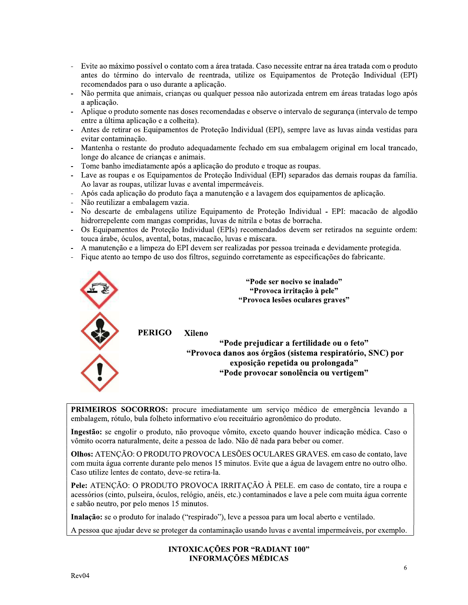- $\overline{a}$ Evite ao máximo possível o contato com a área tratada. Caso necessite entrar na área tratada com o produto antes do término do intervalo de reentrada, utilize os Equipamentos de Proteção Individual (EPI) recomendados para o uso durante a aplicação.
- Não permita que animais, crianças ou qualquer pessoa não autorizada entrem em áreas tratadas logo após a aplicação.
- Aplique o produto somente nas doses recomendadas e observe o intervalo de segurança (intervalo de tempo entre a última aplicação e a colheita).
- Antes de retirar os Equipamentos de Proteção Individual (EPI), sempre lave as luvas ainda vestidas para evitar contaminação.
- Mantenha o restante do produto adequadamente fechado em sua embalagem original em local trancado, longe do alcance de crianças e animais.
- Tome banho imediatamente após a aplicação do produto e troque as roupas.
- Lave as roupas e os Equipamentos de Proteção Individual (EPI) separados das demais roupas da família. Ao lavar as roupas, utilizar luvas e avental impermeáveis.
- Após cada aplicação do produto faça a manutenção e a lavagem dos equipamentos de aplicação.
- Não reutilizar a embalagem vazia.
- No descarte de embalagens utilize Equipamento de Proteção Individual EPI: macação de algodão hidrorrepelente com mangas compridas, luvas de nitrila e botas de borracha.
- Os Equipamentos de Proteção Individual (EPIs) recomendados devem ser retirados na seguinte ordem: touca árabe, óculos, avental, botas, macação, luvas e máscara.
- A manutenção e a limpeza do EPI devem ser realizadas por pessoa treinada e devidamente protegida.
- Fique atento ao tempo de uso dos filtros, seguindo corretamente as especificações do fabricante.



PRIMEIROS SOCORROS: procure imediatamente um serviço médico de emergência levando a embalagem, rótulo, bula folheto informativo e/ou receituário agronômico do produto.

Ingestão: se engolir o produto, não provoque vômito, exceto quando houver indicação médica. Caso o vômito ocorra naturalmente, deite a pessoa de lado. Não dê nada para beber ou comer.

Olhos: ATENÇÃO: O PRODUTO PROVOCA LESÕES OCULARES GRAVES. em caso de contato, lave com muita água corrente durante pelo menos 15 minutos. Evite que a água de lavagem entre no outro olho. Caso utilize lentes de contato, deve-se retira-la.

Pele: ATENÇÃO: O PRODUTO PROVOCA IRRITAÇÃO À PELE. em caso de contato, tire a roupa e acessórios (cinto, pulseira, óculos, relógio, anéis, etc.) contaminados e lave a pele com muita água corrente e sabão neutro, por pelo menos 15 minutos.

Inalação: se o produto for inalado ("respirado"), leve a pessoa para um local aberto e ventilado.

A pessoa que ajudar deve se proteger da contaminação usando luvas e avental impermeáveis, por exemplo.

#### **INTOXICAÇÕES POR "RADIANT 100" INFORMAÇÕES MÉDICAS**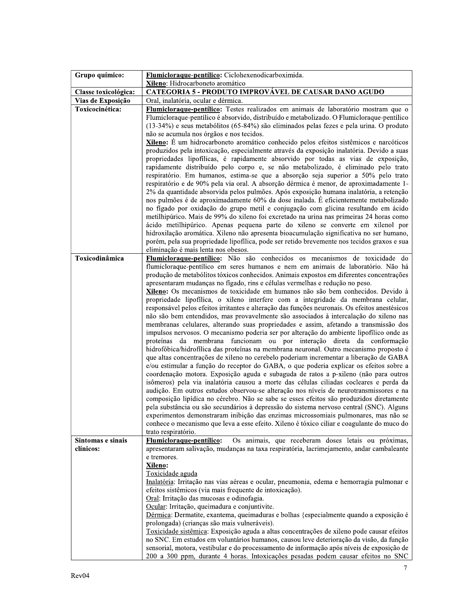| Grupo químico:       | Flumicloraque-pentílico: Ciclohexenodicarboximida.                                                                                                                               |
|----------------------|----------------------------------------------------------------------------------------------------------------------------------------------------------------------------------|
|                      | Xileno: Hidrocarboneto aromático                                                                                                                                                 |
| Classe toxicológica: | <b>CATEGORIA 5 - PRODUTO IMPROVÁVEL DE CAUSAR DANO AGUDO</b>                                                                                                                     |
| Vias de Exposição    | Oral, inalatória, ocular e dérmica.                                                                                                                                              |
| Toxicocinética:      | Flumicloraque-pentílico: Testes realizados em animais de laboratório mostram que o                                                                                               |
|                      | Flumicloraque-pentílico é absorvido, distribuído e metabolizado. O Flumicloraque-pentílico                                                                                       |
|                      | (13-34%) e seus metabólitos (65-84%) são eliminados pelas fezes e pela urina. O produto                                                                                          |
|                      | não se acumula nos órgãos e nos tecidos.                                                                                                                                         |
|                      | Xileno: É um hidrocarboneto aromático conhecido pelos efeitos sistêmicos e narcóticos                                                                                            |
|                      | produzidos pela intoxicação, especialmente através da exposição inalatória. Devido a suas                                                                                        |
|                      | propriedades lipofílicas, é rapidamente absorvido por todas as vias de exposição,                                                                                                |
|                      | rapidamente distribuído pelo corpo e, se não metabolizado, é eliminado pelo trato                                                                                                |
|                      | respiratório. Em humanos, estima-se que a absorção seja superior a 50% pelo trato                                                                                                |
|                      | respiratório e de 90% pela via oral. A absorção dérmica é menor, de aproximadamente 1-<br>2% da quantidade absorvida pelos pulmões. Após exposição humana inalatória, a retenção |
|                      | nos pulmões é de aproximadamente 60% da dose inalada. É eficientemente metabolizado                                                                                              |
|                      | no fígado por oxidação do grupo metil e conjugação com glicina resultando em ácido                                                                                               |
|                      | metilhipúrico. Mais de 99% do xileno foi excretado na urina nas primeiras 24 horas como                                                                                          |
|                      | ácido metilhipúrico. Apenas pequena parte do xileno se converte em xilenol por                                                                                                   |
|                      | hidroxilação aromática. Xileno não apresenta bioacumulação significativa no ser humano,                                                                                          |
|                      | porém, pela sua propriedade lipofílica, pode ser retido brevemente nos tecidos graxos e sua                                                                                      |
|                      | eliminação é mais lenta nos obesos.                                                                                                                                              |
| Toxicodinâmica       | Flumicloraque-pentílico: Não são conhecidos os mecanismos de toxicidade do                                                                                                       |
|                      | flumicloraque-pentílico em seres humanos e nem em animais de laboratório. Não há                                                                                                 |
|                      | produção de metabólitos tóxicos conhecidos. Animais expostos em diferentes concentrações                                                                                         |
|                      | apresentaram mudanças no fígado, rins e células vermelhas e redução no peso.                                                                                                     |
|                      | Xileno: Os mecanismos de toxicidade em humanos não são bem conhecidos. Devido à                                                                                                  |
|                      | propriedade lipofílica, o xileno interfere com a integridade da membrana celular,                                                                                                |
|                      | responsável pelos efeitos irritantes e alteração das funções neuronais. Os efeitos anestésicos                                                                                   |
|                      | não são bem entendidos, mas provavelmente são associados à intercalação do xileno nas                                                                                            |
|                      | membranas celulares, alterando suas propriedades e assim, afetando a transmissão dos                                                                                             |
|                      | impulsos nervosos. O mecanismo poderia ser por alteração do ambiente lipofílico onde as                                                                                          |
|                      | proteínas da membrana funcionam ou por interação direta da conformação<br>hidrofóbica/hidrofílica das proteínas na membrana neuronal. Outro mecanismo proposto é                 |
|                      | que altas concentrações de xileno no cerebelo poderiam incrementar a liberação de GABA                                                                                           |
|                      | e/ou estimular a função do receptor do GABA, o que poderia explicar os efeitos sobre a                                                                                           |
|                      | coordenação motora. Exposição aguda e subaguda de ratos a p-xileno (não para outros                                                                                              |
|                      | isômeros) pela via inalatória causou a morte das células ciliadas cocleares e perda da                                                                                           |
|                      | audição. Em outros estudos observou-se alteração nos níveis de neurotransmissores e na                                                                                           |
|                      | composição lipídica no cérebro. Não se sabe se esses efeitos são produzidos diretamente                                                                                          |
|                      | pela substância ou são secundários à depressão do sistema nervoso central (SNC). Alguns                                                                                          |
|                      | experimentos demonstraram inibição das enzimas microssomiais pulmonares, mas não se                                                                                              |
|                      | conhece o mecanismo que leva a esse efeito. Xileno é tóxico ciliar e coagulante do muco do                                                                                       |
|                      | trato respiratório.                                                                                                                                                              |
| Sintomas e sinais    | Flumicloraque-pentílico:<br>Os animais, que receberam doses letais ou próximas,                                                                                                  |
| clínicos:            | apresentaram salivação, mudanças na taxa respiratória, lacrimejamento, andar cambaleante                                                                                         |
|                      | e tremores.                                                                                                                                                                      |
|                      | Xileno:                                                                                                                                                                          |
|                      | Toxicidade aguda                                                                                                                                                                 |
|                      | Inalatória: Irritação nas vias aéreas e ocular, pneumonia, edema e hemorragia pulmonar e<br>efeitos sistêmicos (via mais frequente de intoxicação).                              |
|                      | Oral: Irritação das mucosas e odinofagia.                                                                                                                                        |
|                      | Ocular: Irritação, queimadura e conjuntivite.                                                                                                                                    |
|                      | Dérmica: Dermatite, exantema, queimaduras e bolhas {especialmente quando a exposição é                                                                                           |
|                      | prolongada) (crianças são mais vulneráveis).                                                                                                                                     |
|                      | Toxicidade sistêmica: Exposição aguda a altas concentrações de xileno pode causar efeitos                                                                                        |
|                      | no SNC. Em estudos em voluntários humanos, causou leve deterioração da visão, da função                                                                                          |
|                      | sensorial, motora, vestibular e do processamento de informação após níveis de exposição de                                                                                       |
|                      | 200 a 300 ppm, durante 4 horas. Intoxicações pesadas podem causar efeitos no SNC                                                                                                 |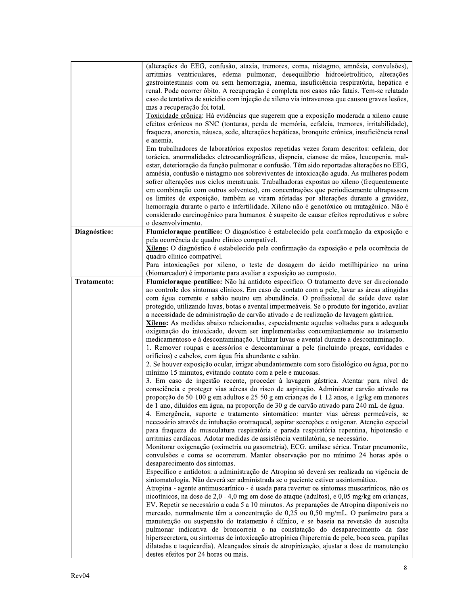|              | (alterações do EEG, confusão, ataxia, tremores, coma, nistagmo, amnésia, convulsões),          |
|--------------|------------------------------------------------------------------------------------------------|
|              | arritmias ventriculares, edema pulmonar, desequilíbrio hidroeletrolítico, alterações           |
|              | gastrointestinais com ou sem hemorragia, anemia, insuficiência respiratória, hepática e        |
|              | renal. Pode ocorrer óbito. A recuperação é completa nos casos não fatais. Tem-se relatado      |
|              | caso de tentativa de suicídio com injeção de xileno via intravenosa que causou graves lesões,  |
|              | mas a recuperação foi total.                                                                   |
|              | Toxicidade crônica: Há evidências que sugerem que a exposição moderada a xileno cause          |
|              | efeitos crônicos no SNC (tonturas, perda de memória, cefaleia, tremores, irritabilidade),      |
|              | fraqueza, anorexia, náusea, sede, alterações hepáticas, bronquite crônica, insuficiência renal |
|              | e anemia.                                                                                      |
|              | Em trabalhadores de laboratórios expostos repetidas vezes foram descritos: cefaleia, dor       |
|              | torácica, anormalidades eletrocardiográficas, dispneia, cianose de mãos, leucopenia, mal-      |
|              | estar, deterioração da função pulmonar e confusão. Têm sido reportadas alterações no EEG,      |
|              | amnésia, confusão e nistagmo nos sobreviventes de intoxicação aguda. As mulheres podem         |
|              | sofrer alterações nos ciclos menstruais. Trabalhadoras expostas ao xileno (frequentemente      |
|              | em combinação com outros solventes), em concentrações que periodicamente ultrapassem           |
|              | os limites de exposição, também se viram afetadas por alterações durante a gravidez,           |
|              | hemorragia durante o parto e infertilidade. Xileno não é genotóxico ou mutagênico. Não é       |
|              | considerado carcinogênico para humanos. é suspeito de causar efeitos reprodutivos e sobre      |
|              | o desenvolvimento.                                                                             |
| Diagnóstico: | Flumicloraque-pentílico: O diagnóstico é estabelecido pela confirmação da exposição e          |
|              | pela ocorrência de quadro clínico compatível.                                                  |
|              | Xileno: O diagnóstico é estabelecido pela confirmação da exposição e pela ocorrência de        |
|              | quadro clínico compatível.                                                                     |
|              | Para intoxicações por xileno, o teste de dosagem do ácido metilhipúrico na urina               |
|              | (biomarcador) é importante para avaliar a exposição ao composto.                               |
| Tratamento:  | Flumicloraque-pentílico: Não há antídoto específico. O tratamento deve ser direcionado         |
|              | ao controle dos sintomas clínicos. Em caso de contato com a pele, lavar as áreas atingidas     |
|              | com água corrente e sabão neutro em abundância. O profissional de saúde deve estar             |
|              | protegido, utilizando luvas, botas e avental impermeáveis. Se o produto for ingerido, avaliar  |
|              | a necessidade de administração de carvão ativado e de realização de lavagem gástrica.          |
|              | Xileno: As medidas abaixo relacionadas, especialmente aquelas voltadas para a adequada         |
|              | oxigenação do intoxicado, devem ser implementadas concomitantemente ao tratamento              |
|              | medicamentoso e à descontaminação. Utilizar luvas e avental durante a descontaminação.         |
|              | 1. Remover roupas e acessórios e descontaminar a pele (incluindo pregas, cavidades e           |
|              | orifícios) e cabelos, com água fria abundante e sabão.                                         |
|              | 2. Se houver exposição ocular, irrigar abundantemente com soro fisiológico ou água, por no     |
|              | mínimo 15 minutos, evitando contato com a pele e mucosas.                                      |
|              | 3. Em caso de ingestão recente, proceder à lavagem gástrica. Atentar para nível de             |
|              | consciência e proteger vias aéreas do risco de aspiração. Administrar carvão ativado na        |
|              | proporção de 50-100 g em adultos e 25-50 g em crianças de 1-12 anos, e 1g/kg em menores        |
|              | de 1 ano, diluídos em água, na proporção de 30 g de carvão ativado para 240 mL de água.        |
|              | 4. Emergência, suporte e tratamento sintomático: manter vias aéreas permeáveis, se             |
|              | necessário através de intubação orotraqueal, aspirar secreções e oxigenar. Atenção especial    |
|              | para fraqueza de musculatura respiratória e parada respiratória repentina, hipotensão e        |
|              | arritmias cardíacas. Adotar medidas de assistência ventilatória, se necessário.                |
|              | Monitorar oxigenação (oximetria ou gasometria), ECG, amilase sérica. Tratar pneumonite,        |
|              | convulsões e coma se ocorrerem. Manter observação por no mínimo 24 horas após o                |
|              | desaparecimento dos sintomas.                                                                  |
|              | Específico e antídotos: a administração de Atropina só deverá ser realizada na vigência de     |
|              | sintomatologia. Não deverá ser administrada se o paciente estiver assintomático.               |
|              | Atropina - agente antimuscarínico - é usada para reverter os sintomas muscarínicos, não os     |
|              | nicotínicos, na dose de 2,0 - 4,0 mg em dose de ataque (adultos), e 0,05 mg/kg em crianças,    |
|              | EV. Repetir se necessário a cada 5 a 10 minutos. As preparações de Atropina disponíveis no     |
|              | mercado, normalmente têm a concentração de 0,25 ou 0,50 mg/mL. O parâmetro para a              |
|              | manutenção ou suspensão do tratamento é clínico, e se baseia na reversão da ausculta           |
|              | pulmonar indicativa de broncorreia e na constatação do desaparecimento da fase                 |
|              | hipersecretora, ou sintomas de intoxicação atropínica (hiperemia de pele, boca seca, pupilas   |
|              | dilatadas e taquicardia). Alcançados sinais de atropinização, ajustar a dose de manutenção     |
|              | destes efeitos por 24 horas ou mais.                                                           |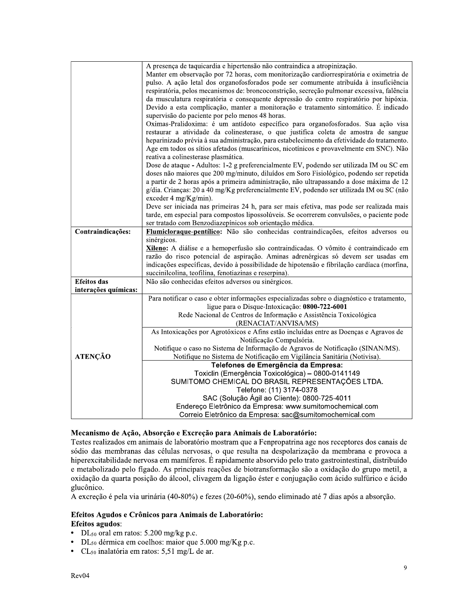|                      | A presença de taquicardia e hipertensão não contraindica a atropinização.                                           |
|----------------------|---------------------------------------------------------------------------------------------------------------------|
|                      | Manter em observação por 72 horas, com monitorização cardiorrespiratória e oximetria de                             |
|                      | pulso. A ação letal dos organofosforados pode ser comumente atribuída à insuficiência                               |
|                      | respiratória, pelos mecanismos de: broncoconstrição, secreção pulmonar excessiva, falência                          |
|                      | da musculatura respiratória e consequente depressão do centro respiratório por hipóxia.                             |
|                      | Devido a esta complicação, manter a monitoração e tratamento sintomático. É indicado                                |
|                      | supervisão do paciente por pelo menos 48 horas.                                                                     |
|                      | Oximas-Pralidoxima: é um antídoto específico para organofosforados. Sua ação visa                                   |
|                      | restaurar a atividade da colinesterase, o que justifica coleta de amostra de sangue                                 |
|                      | heparinizado prévia à sua administração, para estabelecimento da efetividade do tratamento.                         |
|                      | Age em todos os sítios afetados (muscarínicos, nicotínicos e provavelmente em SNC). Não                             |
|                      | reativa a colinesterase plasmática.                                                                                 |
|                      | Dose de ataque - Adultos: 1-2 g preferencialmente EV, podendo ser utilizada IM ou SC em                             |
|                      | doses não maiores que 200 mg/minuto, diluídos em Soro Fisiológico, podendo ser repetida                             |
|                      | a partir de 2 horas após a primeira administração, não ultrapassando a dose máxima de 12                            |
|                      | g/dia. Crianças: 20 a 40 mg/Kg preferencialmente EV, podendo ser utilizada IM ou SC (não                            |
|                      | exceder 4 mg/Kg/min).                                                                                               |
|                      | Deve ser iniciada nas primeiras 24 h, para ser mais efetiva, mas pode ser realizada mais                            |
|                      | tarde, em especial para compostos lipossolúveis. Se ocorrerem convulsões, o paciente pode                           |
|                      | ser tratado com Benzodiazepínicos sob orientação médica.                                                            |
| Contraindicações:    | Flumicloraque-pentílico: Não são conhecidas contraindicações, efeitos adversos ou                                   |
|                      | sinérgicos.                                                                                                         |
|                      | Xileno: A diálise e a hemoperfusão são contraindicadas. O vômito é contraindicado em                                |
|                      | razão do risco potencial de aspiração. Aminas adrenérgicas só devem ser usadas em                                   |
|                      | indicações específicas, devido à possibilidade de hipotensão e fibrilação cardíaca (morfina,                        |
|                      | succinilcolina, teofilina, fenotiazinas e reserpina).                                                               |
| <b>Efeitos</b> das   | Não são conhecidas efeitos adversos ou sinérgicos.                                                                  |
| interações químicas: |                                                                                                                     |
|                      | Para notificar o caso e obter informações especializadas sobre o diagnóstico e tratamento,                          |
|                      | ligue para o Disque-Intoxicação: 0800-722-6001<br>Rede Nacional de Centros de Informação e Assistência Toxicológica |
|                      | (RENACIAT/ANVISA/MS)                                                                                                |
|                      | As Intoxicações por Agrotóxicos e Afins estão incluídas entre as Doenças e Agravos de                               |
|                      | Notificação Compulsória.                                                                                            |
|                      | Notifique o caso no Sistema de Informação de Agravos de Notificação (SINAN/MS).                                     |
| <b>ATENÇÃO</b>       | Notifique no Sistema de Notificação em Vigilância Sanitária (Notivisa).                                             |
|                      | Telefones de Emergência da Empresa:                                                                                 |
|                      | Toxiclin (Emergência Toxicológica) - 0800-0141149                                                                   |
|                      | SUMITOMO CHEMICAL DO BRASIL REPRESENTAÇÕES LTDA.                                                                    |
|                      | Telefone: (11) 3174-0378                                                                                            |
|                      | SAC (Solução Ágil ao Cliente): 0800-725-4011                                                                        |
|                      | Endereço Eletrônico da Empresa: www.sumitomochemical.com                                                            |
|                      | Correio Eletrônico da Empresa: sac@sumitomochemical.com                                                             |

#### Mecanismo de Ação, Absorção e Excreção para Animais de Laboratório:

Testes realizados em animais de laboratório mostram que a Fenpropatrina age nos receptores dos canais de sódio das membranas das células nervosas, o que resulta na despolarização da membrana e provoca a hiperexcitabilidade nervosa em mamíferos. É rapidamente absorvido pelo trato gastrointestinal, distribuído e metabolizado pelo fígado. As principais reações de biotransformação são a oxidação do grupo metil, a oxidação da quarta posição do álcool, clivagem da ligação éster e conjugação com ácido sulfúrico e ácido glucônico.

A excreção é pela via urinária (40-80%) e fezes (20-60%), sendo eliminado até 7 dias após a absorção.

#### Efeitos Agudos e Crônicos para Animais de Laboratório: **Efeitos agudos:**

- DL $_{50}$  oral em ratos: 5.200 mg/kg p.c.
- $\bullet$  $DL_{50}$  dérmica em coelhos: maior que 5.000 mg/Kg p.c.
- CL<sub>50</sub> inalatória em ratos: 5,51 mg/L de ar.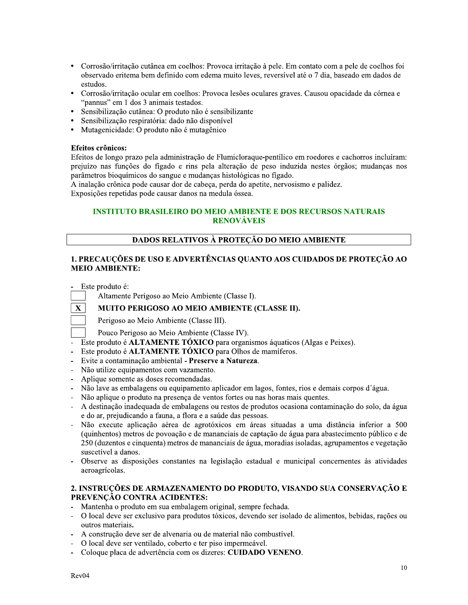- Corrosão/irritação cutânea em coelhos: Provoca irritação à pele. Em contato com a pele de coelhos foi observado eritema bem definido com edema muito leves, reversível até o 7 dia, baseado em dados de estudos.
- Corrosão/irritação ocular em coelhos: Provoca lesões oculares graves. Causou opacidade da córnea e "pannus" em 1 dos 3 animais testados.
- Sensibilização cutânea: O produto não é sensibilizante
- Sensibilização respiratória: dado não disponível
- Mutagenicidade: O produto não é mutagênico

#### Efeitos crônicos:

Efeitos de longo prazo pela administração de Flumicloraque-pentífico em roedores e cachorros incluíram: prejuízo nas funções do fígado e rins pela alteração de peso induzida nestes órgãos; mudanças nos parâmetros bioquímicos do sangue e mudanças histológicas no fígado.

A inalação crônica pode causar dor de cabeça, perda do apetite, nervosismo e palidez.

Exposições repetidas pode causar danos na medula óssea.

# **INSTITUTO BRASILEIRO DO MEIO AMBIENTE E DOS RECURSOS NATURAIS RENOVÁVEIS**

### DADOS RELATIVOS À PROTEÇÃO DO MEIO AMBIENTE

## 1. PRECAUÇÕES DE USO E ADVERTÊNCIAS QUANTO AOS CUIDADOS DE PROTEÇÃO AO **MEIO AMBIENTE:**

Este produto é:

Altamente Perigoso ao Meio Ambiente (Classe I).

#### **MUITO PERIGOSO AO MEIO AMBIENTE (CLASSE II).**



Perigoso ao Meio Ambiente (Classe III).

- Pouco Perigoso ao Meio Ambiente (Classe IV).
- Este produto é **ALTAMENTE TÓXICO** para organismos áquaticos (Algas e Peixes).
- Este produto é **ALTAMENTE TÓXICO** para Olhos de mamíferos.
- $\Box$ Evite a contaminação ambiental - Preserve a Natureza.
- Não utilize equipamentos com vazamento.
- Aplique somente as doses recomendadas.
- Não lave as embalagens ou equipamento aplicador em lagos, fontes, rios e demais corpos d'água.  $\mathbf{r}$
- Não aplique o produto na presenca de ventos fortes ou nas horas mais quentes.
- A destinação inadequada de embalagens ou restos de produtos ocasiona contaminação do solo, da água e do ar, prejudicando a fauna, a flora e a saúde das pessoas.
- Não execute aplicação aérea de agrotóxicos em áreas situadas a uma distância inferior a 500 (quinhentos) metros de povoação e de mananciais de captação de água para abastecimento público e de 250 (duzentos e cinquenta) metros de mananciais de água, moradias isoladas, agrupamentos e vegetação suscetível a danos.
- Observe as disposições constantes na legislação estadual e municipal concernentes às atividades aeroagrícolas.

# 2. INSTRUÇÕES DE ARMAZENAMENTO DO PRODUTO, VISANDO SUA CONSERVAÇÃO E PREVENÇÃO CONTRA ACIDENTES:

- Mantenha o produto em sua embalagem original, sempre fechada.
- O local deve ser exclusivo para produtos tóxicos, devendo ser isolado de alimentos, bebidas, rações ou outros materiais.
- A construção deve ser de alvenaria ou de material não combustível.
- O local deve ser ventilado, coberto e ter piso impermeável.
- Coloque placa de advertência com os dizeres: CUIDADO VENENO.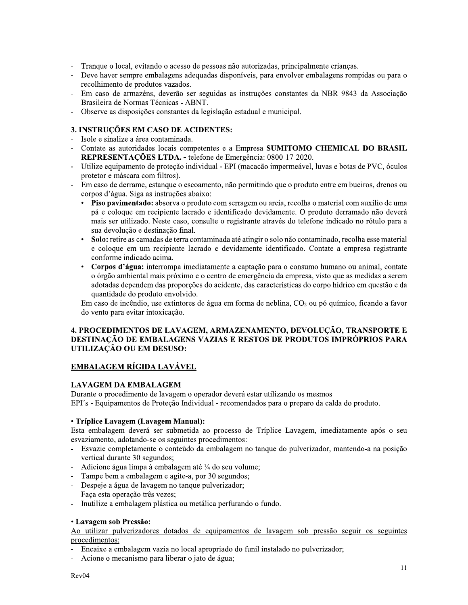- Tranque o local, evitando o acesso de pessoas não autorizadas, principalmente crianças.
- Deve haver sempre embalagens adequadas disponíveis, para envolver embalagens rompidas ou para o recolhimento de produtos vazados.
- Em caso de armazéns, deverão ser seguidas as instruções constantes da NBR 9843 da Associação Brasileira de Normas Técnicas - ABNT.
- Observe as disposições constantes da legislação estadual e municipal.

# 3. INSTRUÇÕES EM CASO DE ACIDENTES:

- Isole e sinalize a área contaminada.
- Contate as autoridades locais competentes e a Empresa SUMITOMO CHEMICAL DO BRASIL REPRESENTACÕES LTDA. - telefone de Emergência: 0800-17-2020.
- Utilize equipamento de proteção individual EPI (macação impermeável, luvas e botas de PVC, óculos protetor e máscara com filtros).
- Em caso de derrame, estangue o escoamento, não permitindo que o produto entre em bueiros, drenos ou corpos d'água. Siga as instruções abaixo:
	- Piso pavimentado: absorva o produto com serragem ou areia, recolha o material com auxílio de uma pá e coloque em recipiente lacrado e identificado devidamente. O produto derramado não deverá mais ser utilizado. Neste caso, consulte o registrante através do telefone indicado no rótulo para a sua devolução e destinação final.
	- $\bullet$ Solo: retire as camadas de terra contaminada até atingir o solo não contaminado, recolha esse material e coloque em um recipiente lacrado e devidamente identificado. Contate a empresa registrante conforme indicado acima.
	- Corpos d'água: interrompa imediatamente a captação para o consumo humano ou animal, contate o órgão ambiental mais próximo e o centro de emergência da empresa, visto que as medidas a serem adotadas dependem das proporções do acidente, das características do corpo hídrico em questão e da quantidade do produto envolvido.
- Em caso de incêndio, use extintores de água em forma de neblina,  $CO<sub>2</sub>$  ou pó químico, ficando a favor do vento para evitar intoxicação.

#### 4. PROCEDIMENTOS DE LAVAGEM, ARMAZENAMENTO, DEVOLUÇÃO, TRANSPORTE E **DESTINAÇÃO DE EMBALAGENS VAZIAS E RESTOS DE PRODUTOS IMPRÓPRIOS PARA** UTILIZAÇÃO OU EM DESUSO:

# EMBALAGEM RÍGIDA LAVÁVEL

# **LAVAGEM DA EMBALAGEM**

Durante o procedimento de lavagem o operador deverá estar utilizando os mesmos EPI's - Equipamentos de Proteção Individual - recomendados para o preparo da calda do produto.

#### • Tríplice Lavagem (Lavagem Manual):

Esta embalagem deverá ser submetida ao processo de Tríplice Lavagem, imediatamente após o seu esvaziamento, adotando-se os seguintes procedimentos:

- Esvazie completamente o conteúdo da embalagem no tanque do pulverizador, mantendo-a na posição vertical durante 30 segundos;
- Adicione água limpa à embalagem até ¼ do seu volume;
- Tampe bem a embalagem e agite-a, por 30 segundos;
- Despeje a água de lavagem no tanque pulverizador;
- Faça esta operação três vezes;
- $\mathbb{L}$ Inutilize a embalagem plástica ou metálica perfurando o fundo.

#### • Lavagem sob Pressão:

Ao utilizar pulverizadores dotados de equipamentos de lavagem sob pressão seguir os seguintes procedimentos:

- Encaixe a embalagem vazia no local apropriado do funil instalado no pulverizador;
- Acione o mecanismo para liberar o jato de água;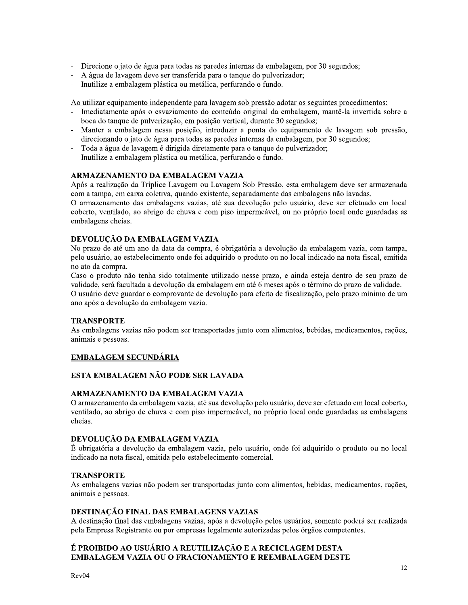- Direcione o jato de água para todas as paredes internas da embalagem, por 30 segundos;
- A água de lavagem deve ser transferida para o tanque do pulverizador;
- $\Box$ Inutilize a embalagem plástica ou metálica, perfurando o fundo.

Ao utilizar equipamento independente para lavagem sob pressão adotar os seguintes procedimentos:

- Imediatamente após o esvaziamento do conteúdo original da embalagem, mantê-la invertida sobre a boca do tanque de pulverização, em posição vertical, durante 30 segundos;
- Manter a embalagem nessa posição, introduzir a ponta do equipamento de lavagem sob pressão, direcionando o jato de água para todas as paredes internas da embalagem, por 30 segundos;
- Toda a água de lavagem é dirigida diretamente para o tanque do pulverizador;
- Inutilize a embalagem plástica ou metálica, perfurando o fundo.

#### ARMAZENAMENTO DA EMBALAGEM VAZIA

Após a realização da Tríplice Lavagem ou Lavagem Sob Pressão, esta embalagem deve ser armazenada com a tampa, em caixa coletiva, quando existente, separadamente das embalagens não lavadas.

O armazenamento das embalagens vazias, até sua devolução pelo usuário, deve ser efetuado em local coberto, ventilado, ao abrigo de chuva e com piso impermeável, ou no próprio local onde guardadas as embalagens cheias.

## DEVOLUÇÃO DA EMBALAGEM VAZIA

No prazo de até um ano da data da compra, é obrigatória a devolução da embalagem vazia, com tampa, pelo usuário, ao estabelecimento onde foi adquirido o produto ou no local indicado na nota fiscal, emitida no ato da compra.

Caso o produto não tenha sido totalmente utilizado nesse prazo, e ainda esteja dentro de seu prazo de validade, será facultada a devolução da embalagem em até 6 meses após o término do prazo de validade. O usuário deve guardar o comprovante de devolução para efeito de fiscalização, pelo prazo mínimo de um ano após a devolução da embalagem vazia.

#### **TRANSPORTE**

As embalagens vazias não podem ser transportadas junto com alimentos, bebidas, medicamentos, rações, animais e pessoas.

#### **EMBALAGEM SECUNDÁRIA**

# ESTA EMBALAGEM NÃO PODE SER LAVADA

#### ARMAZENAMENTO DA EMBALAGEM VAZIA

O armazenamento da embalagem vazia, até sua devolução pelo usuário, deve ser efetuado em local coberto, ventilado, ao abrigo de chuva e com piso impermeável, no próprio local onde guardadas as embalagens cheias.

#### DEVOLUÇÃO DA EMBALAGEM VAZIA

É obrigatória a devolução da embalagem vazia, pelo usuário, onde foi adquirido o produto ou no local indicado na nota fiscal, emitida pelo estabelecimento comercial.

# **TRANSPORTE**

As embalagens vazias não podem ser transportadas junto com alimentos, bebidas, medicamentos, rações, animais e pessoas.

#### DESTINAÇÃO FINAL DAS EMBALAGENS VAZIAS

A destinação final das embalagens vazias, após a devolução pelos usuários, somente poderá ser realizada pela Empresa Registrante ou por empresas legalmente autorizadas pelos órgãos competentes.

# É PROIBIDO AO USUÁRIO A REUTILIZAÇÃO E A RECICLAGEM DESTA **EMBALAGEM VAZIA OU O FRACIONAMENTO E REEMBALAGEM DESTE**